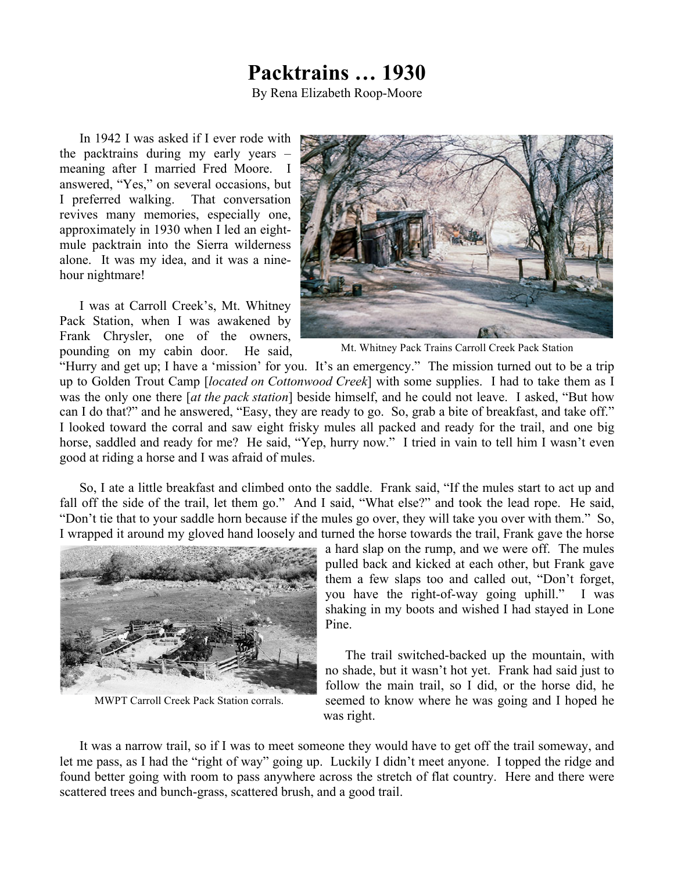## **Packtrains … 1930**

By Rena Elizabeth Roop-Moore

In 1942 I was asked if I ever rode with the packtrains during my early years – meaning after I married Fred Moore. I answered, "Yes," on several occasions, but I preferred walking. That conversation revives many memories, especially one, approximately in 1930 when I led an eightmule packtrain into the Sierra wilderness alone. It was my idea, and it was a ninehour nightmare!

I was at Carroll Creek's, Mt. Whitney Pack Station, when I was awakened by Frank Chrysler, one of the owners, pounding on my cabin door. He said,



Mt. Whitney Pack Trains Carroll Creek Pack Station

"Hurry and get up; I have a 'mission' for you. It's an emergency." The mission turned out to be a trip up to Golden Trout Camp [*located on Cottonwood Creek*] with some supplies. I had to take them as I was the only one there [*at the pack station*] beside himself, and he could not leave. I asked, "But how can I do that?" and he answered, "Easy, they are ready to go. So, grab a bite of breakfast, and take off." I looked toward the corral and saw eight frisky mules all packed and ready for the trail, and one big horse, saddled and ready for me? He said, "Yep, hurry now." I tried in vain to tell him I wasn't even good at riding a horse and I was afraid of mules.

So, I ate a little breakfast and climbed onto the saddle. Frank said, "If the mules start to act up and fall off the side of the trail, let them go." And I said, "What else?" and took the lead rope. He said, "Don't tie that to your saddle horn because if the mules go over, they will take you over with them." So, I wrapped it around my gloved hand loosely and turned the horse towards the trail, Frank gave the horse



MWPT Carroll Creek Pack Station corrals.

a hard slap on the rump, and we were off. The mules pulled back and kicked at each other, but Frank gave them a few slaps too and called out, "Don't forget, you have the right-of-way going uphill." I was shaking in my boots and wished I had stayed in Lone Pine.

The trail switched-backed up the mountain, with no shade, but it wasn't hot yet. Frank had said just to follow the main trail, so I did, or the horse did, he seemed to know where he was going and I hoped he was right.

It was a narrow trail, so if I was to meet someone they would have to get off the trail someway, and let me pass, as I had the "right of way" going up. Luckily I didn't meet anyone. I topped the ridge and found better going with room to pass anywhere across the stretch of flat country. Here and there were scattered trees and bunch-grass, scattered brush, and a good trail.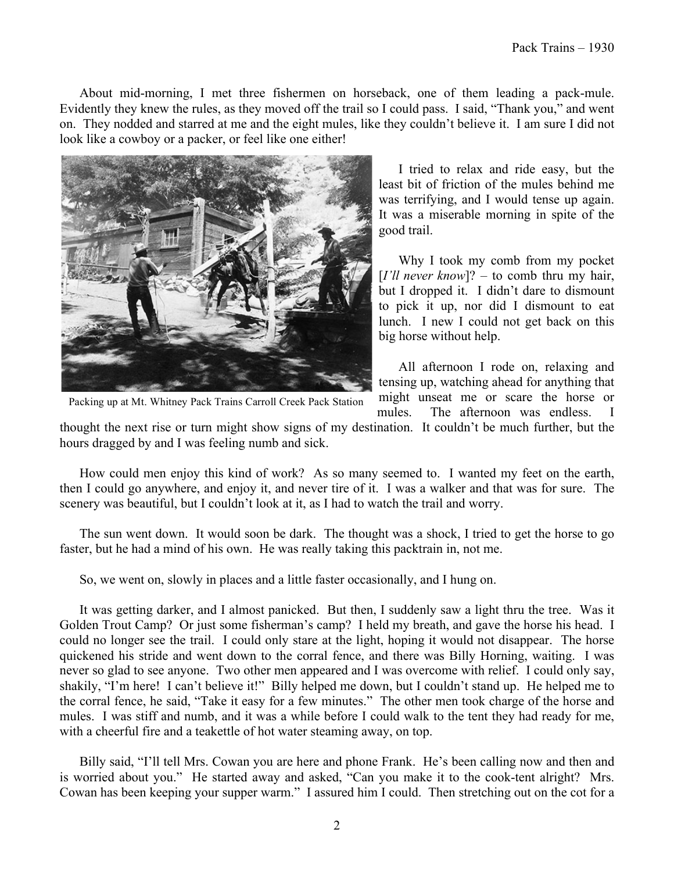About mid-morning, I met three fishermen on horseback, one of them leading a pack-mule. Evidently they knew the rules, as they moved off the trail so I could pass. I said, "Thank you," and went on. They nodded and starred at me and the eight mules, like they couldn't believe it. I am sure I did not look like a cowboy or a packer, or feel like one either!



I tried to relax and ride easy, but the least bit of friction of the mules behind me was terrifying, and I would tense up again. It was a miserable morning in spite of the good trail.

Why I took my comb from my pocket [*I'll never know*]? – to comb thru my hair, but I dropped it. I didn't dare to dismount to pick it up, nor did I dismount to eat lunch. I new I could not get back on this big horse without help.

All afternoon I rode on, relaxing and tensing up, watching ahead for anything that might unseat me or scare the horse or mules. The afternoon was endless. I

Packing up at Mt. Whitney Pack Trains Carroll Creek Pack Station

thought the next rise or turn might show signs of my destination. It couldn't be much further, but the hours dragged by and I was feeling numb and sick.

How could men enjoy this kind of work? As so many seemed to. I wanted my feet on the earth, then I could go anywhere, and enjoy it, and never tire of it. I was a walker and that was for sure. The scenery was beautiful, but I couldn't look at it, as I had to watch the trail and worry.

The sun went down. It would soon be dark. The thought was a shock, I tried to get the horse to go faster, but he had a mind of his own. He was really taking this packtrain in, not me.

So, we went on, slowly in places and a little faster occasionally, and I hung on.

It was getting darker, and I almost panicked. But then, I suddenly saw a light thru the tree. Was it Golden Trout Camp? Or just some fisherman's camp? I held my breath, and gave the horse his head. I could no longer see the trail. I could only stare at the light, hoping it would not disappear. The horse quickened his stride and went down to the corral fence, and there was Billy Horning, waiting. I was never so glad to see anyone. Two other men appeared and I was overcome with relief. I could only say, shakily, "I'm here! I can't believe it!" Billy helped me down, but I couldn't stand up. He helped me to the corral fence, he said, "Take it easy for a few minutes." The other men took charge of the horse and mules. I was stiff and numb, and it was a while before I could walk to the tent they had ready for me, with a cheerful fire and a teakettle of hot water steaming away, on top.

Billy said, "I'll tell Mrs. Cowan you are here and phone Frank. He's been calling now and then and is worried about you." He started away and asked, "Can you make it to the cook-tent alright? Mrs. Cowan has been keeping your supper warm." I assured him I could. Then stretching out on the cot for a